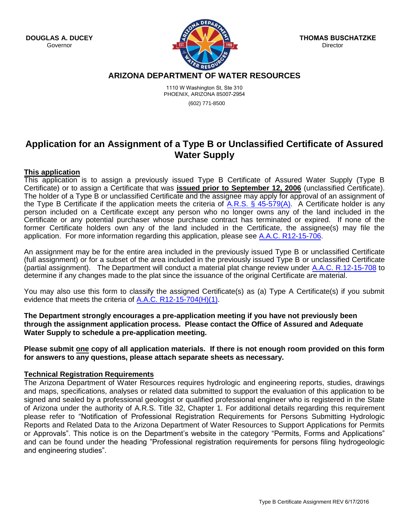**DOUGLAS A. DUCEY** Governor



**THOMAS BUSCHATZKE Director** 

## **ARIZONA DEPARTMENT OF WATER RESOURCES**

1110 W Washington St, Ste 310 PHOENIX, ARIZONA 85007-2954 (602) 771-8500

# **Application for an Assignment of a Type B or Unclassified Certificate of Assured Water Supply**

## **This application**

This application is to assign a previously issued Type B Certificate of Assured Water Supply (Type B Certificate) or to assign a Certificate that was **issued prior to September 12, 2006** (unclassified Certificate). The holder of a Type B or unclassified Certificate and the assignee may apply for approval of an assignment of the Type B Certificate if the application meets the criteria of A.R.S.  $\S$  45-579(A). A Certificate holder is any person included on a Certificate except any person who no longer owns any of the land included in the Certificate or any potential purchaser whose purchase contract has terminated or expired. If none of the former Certificate holders own any of the land included in the Certificate, the assignee(s) may file the application. For more information regarding this application, please see [A.A.C. R12-15-706.](http://www.azsos.gov/public_services/Title_12/12-15.htm)

An assignment may be for the entire area included in the previously issued Type B or unclassified Certificate (full assignment) or for a subset of the area included in the previously issued Type B or unclassified Certificate (partial assignment). The Department will conduct a material plat change review under [A.A.C. R.12-15-708](http://www.azsos.gov/public_services/Title_12/12-15.htm) to determine if any changes made to the plat since the issuance of the original Certificate are material.

You may also use this form to classify the assigned Certificate(s) as (a) Type A Certificate(s) if you submit evidence that meets the criteria of [A.A.C. R12-15-704\(H\)\(1\).](http://www.azsos.gov/public_services/Title_12/12-15.htm)

**The Department strongly encourages a pre-application meeting if you have not previously been through the assignment application process. Please contact the Office of Assured and Adequate Water Supply to schedule a pre-application meeting.** 

**Please submit one copy of all application materials. If there is not enough room provided on this form for answers to any questions, please attach separate sheets as necessary.** 

## **Technical Registration Requirements**

The Arizona Department of Water Resources requires hydrologic and engineering reports, studies, drawings and maps, specifications, analyses or related data submitted to support the evaluation of this application to be signed and sealed by a professional geologist or qualified professional engineer who is registered in the State of Arizona under the authority of A.R.S. Title 32, Chapter 1. For additional details regarding this requirement please refer to "Notification of Professional Registration Requirements for Persons Submitting Hydrologic Reports and Related Data to the Arizona Department of Water Resources to Support Applications for Permits or Approvals". This notice is on the Department's website in the category "Permits, Forms and Applications" and can be found under the heading "Professional registration requirements for persons filing hydrogeologic and engineering studies".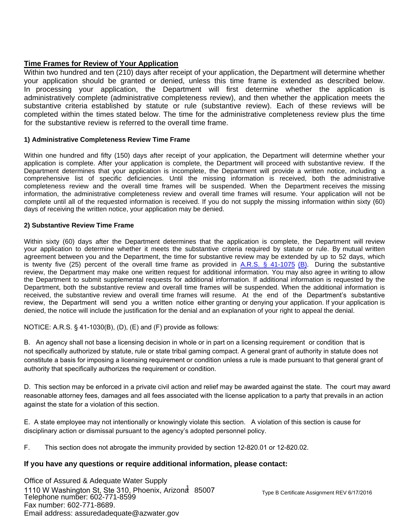# **Time Frames for Review of Your Application**

Within two hundred and ten (210) days after receipt of your application, the Department will determine whether your application should be granted or denied, unless this time frame is extended as described below. In processing your application, the Department will first determine whether the application is administratively complete (administrative completeness review), and then whether the application meets the substantive criteria established by statute or rule (substantive review). Each of these reviews will be completed within the times stated below. The time for the administrative completeness review plus the time for the substantive review is referred to the overall time frame.

## **1) Administrative Completeness Review Time Frame**

Within one hundred and fifty (150) days after receipt of your application, the Department will determine whether your application is complete. After your application is complete, the Department will proceed with substantive review. If the Department determines that your application is incomplete, the Department will provide a written notice, including a comprehensive list of specific deficiencies. Until the missing information is received, both the administrative completeness review and the overall time frames will be suspended. When the Department receives the missing information, the administrative completeness review and overall time frames will resume. Your application will not be complete until all of the requested information is received. If you do not supply the missing information within sixty (60) days of receiving the written notice, your application may be denied.

## **2) Substantive Review Time Frame**

Within sixty (60) days after the Department determines that the application is complete, the Department will review your application to determine whether it meets the substantive criteria required by statute or rule. By mutual written agreement between you and the Department, the time for substantive review may be extended by up to 52 days, which is twenty five (25) percent of the overall time frame as provided in  $\underline{A.R.S. S}$  41-1075 (B). During the substantive review, the Department may make one written request for additional information. You may also agree in writing to allow the Department to submit supplemental requests for additional information. If additional information is requested by the Department, both the substantive review and overall time frames will be suspended. When the additional information is received, the substantive review and overall time frames will resume. At the end of the Depar[tment's substantive](http://www.azleg.gov/ArizonaRevisedStatutes.asp?Title=41)  [revie](http://www.azleg.gov/ArizonaRevisedStatutes.asp?Title=41)w, the Department will send you a written notice either granting or denying your application. If your application is denied, the notice will include the justification for the denial and an explanation of your right to appeal the denial.

NOTICE: A.R.S. § 41-1030(B), (D), (E) and (F) provide as follows:

B. An agency shall not base a licensing decision in whole or in part on a licensing requirement or condition that is not specifically authorized by statute, rule or state tribal gaming compact. A general grant of authority in statute does not constitute a basis for imposing a licensing requirement or condition unless a rule is made pursuant to that general grant of authority that specifically authorizes the requirement or condition.

D. This section may be enforced in a private civil action and relief may be awarded against the state. The court may award reasonable attorney fees, damages and all fees associated with the license application to a party that prevails in an action against the state for a violation of this section.

E. A state employee may not intentionally or knowingly violate this section. A violation of this section is cause for disciplinary action or dismissal pursuant to the agency's adopted personnel policy.

F. This section does not abrogate the immunity provided by section 12-820.01 or 12-820.02.

## **If you have any questions or require additional information, please contact:**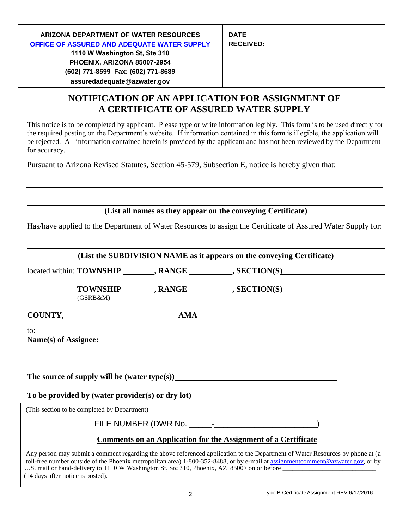# **NOTIFICATION OF AN APPLICATION FOR ASSIGNMENT OF A CERTIFICATE OF ASSURED WATER SUPPLY**

This notice is to be completed by applicant. Please type or write information legibly. This form is to be used directly for the required posting on the Department's website. If information contained in this form is illegible, the application will be rejected. All information contained herein is provided by the applicant and has not been reviewed by the Department for accuracy.

Pursuant to Arizona Revised Statutes, Section 45-579, Subsection E, notice is hereby given that:

**(List all names as they appear on the conveying Certificate)**

Has/have applied to the Department of Water Resources to assign the Certificate of Assured Water Supply for:

|                                   |                                              | (List the SUBDIVISION NAME as it appears on the conveying Certificate)                                      |                                                                                                                                                                                                                                                                   |
|-----------------------------------|----------------------------------------------|-------------------------------------------------------------------------------------------------------------|-------------------------------------------------------------------------------------------------------------------------------------------------------------------------------------------------------------------------------------------------------------------|
|                                   |                                              |                                                                                                             | located within: TOWNSHIP ________, RANGE __________, SECTION(S)                                                                                                                                                                                                   |
|                                   | (GSRB&M)                                     |                                                                                                             | TOWNSHIP ________, RANGE __________, SECTION(S)                                                                                                                                                                                                                   |
|                                   |                                              |                                                                                                             |                                                                                                                                                                                                                                                                   |
| to:                               |                                              |                                                                                                             |                                                                                                                                                                                                                                                                   |
|                                   |                                              |                                                                                                             |                                                                                                                                                                                                                                                                   |
|                                   |                                              | To be provided by (water provider(s) or dry lot)<br><u>To be provided by (water provider(s)</u> or dry lot) |                                                                                                                                                                                                                                                                   |
|                                   | (This section to be completed by Department) |                                                                                                             |                                                                                                                                                                                                                                                                   |
|                                   |                                              |                                                                                                             |                                                                                                                                                                                                                                                                   |
|                                   |                                              | <b>Comments on an Application for the Assignment of a Certificate</b>                                       |                                                                                                                                                                                                                                                                   |
| (14 days after notice is posted). |                                              |                                                                                                             | Any person may submit a comment regarding the above referenced application to the Department of Water Resources by phone at (a<br>toll-free number outside of the Phoenix metropolitan area) 1-800-352-8488, or by e-mail at assignmentcomment@azwater.gov, or by |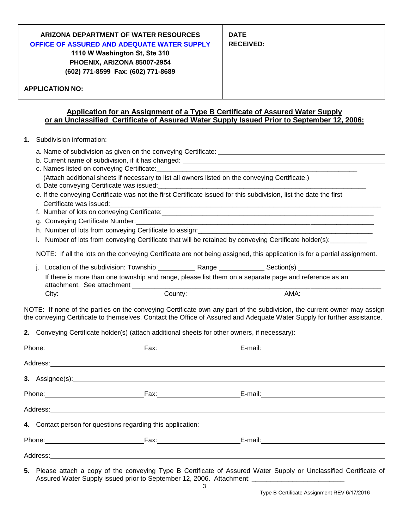| ARIZONA DEPARTMENT OF WATER RESOURCES<br><b>OFFICE OF ASSURED AND ADEQUATE WATER SUPPLY</b><br>1110 W Washington St, Ste 310<br>PHOENIX, ARIZONA 85007-2954<br>(602) 771-8599 Fax: (602) 771-8689 | <b>DATE</b><br><b>RECEIVED:</b> |  |  |
|---------------------------------------------------------------------------------------------------------------------------------------------------------------------------------------------------|---------------------------------|--|--|
| <b>APPLICATION NO:</b>                                                                                                                                                                            |                                 |  |  |
| Application for an Assignment of a Type B Certificate of Assured Water Supply<br>or an Unclassified Certificate of Assured Water Supply Issued Prior to September 12, 2006:                       |                                 |  |  |

- **1.** Subdivision information:
	- a. Name of subdivision as given on the conveying Certificate:
	- b. Current name of subdivision, if it has changed:
	- c. Names listed on conveying Certificate:
		- (Attach additional sheets if necessary to list all owners listed on the conveying Certificate.)
	- d. Date conveying Certificate was issued:
	- e. If the conveying Certificate was not the first Certificate issued for this subdivision, list the date the first Certificate was issued:
	- f. Number of lots on conveying Certificate:\_\_\_\_\_\_\_\_\_\_\_\_\_\_\_\_\_\_\_\_\_\_\_\_\_\_\_\_\_\_\_\_\_\_\_\_\_\_\_\_\_\_\_\_\_\_\_\_\_\_\_\_\_\_\_\_\_
	- g. Conveying Certificate Number:
	- h. Number of lots from conveying Certificate to assign:
	- i. Number of lots from conveying Certificate that will be retained by conveying Certificate holder(s):

NOTE: If all the lots on the conveying Certificate are not being assigned, this application is for a partial assignment.

| . Location of the subdivision: Township                                                                                             | Range   | Section(s) |  |
|-------------------------------------------------------------------------------------------------------------------------------------|---------|------------|--|
| If there is more than one township and range, please list them on a separate page and reference as an<br>attachment. See attachment |         |            |  |
| City:                                                                                                                               | County: | AMA:       |  |

NOTE: If none of the parties on the conveying Certificate own any part of the subdivision, the current owner may assign the conveying Certificate to themselves. Contact the Office of Assured and Adequate Water Supply for further assistance.

**2.** Conveying Certificate holder(s) (attach additional sheets for other owners, if necessary):

|  |  | Phone: Fax: Fax: Fax: E-mail: E-mail: F-mail: F-mail: F-mail: F-mail: F-mail: F-mail: F-mail: F-mail: F-mail: F-mail: F-mail: F-mail: F-mail: F-mail: F-mail: F-mail: F-mail: F-mail: F-mail: F-mail: F-mail: F-mail: F-mail: |  |
|--|--|-------------------------------------------------------------------------------------------------------------------------------------------------------------------------------------------------------------------------------|--|
|  |  |                                                                                                                                                                                                                               |  |
|  |  |                                                                                                                                                                                                                               |  |
|  |  |                                                                                                                                                                                                                               |  |
|  |  |                                                                                                                                                                                                                               |  |
|  |  |                                                                                                                                                                                                                               |  |
|  |  | Phone: Fax: Fax: E-mail: E-mail:                                                                                                                                                                                              |  |
|  |  |                                                                                                                                                                                                                               |  |

**5.** Please attach a copy of the conveying Type B Certificate of Assured Water Supply or Unclassified Certificate of Assured Water Supply issued prior to September 12, 2006. Attachment: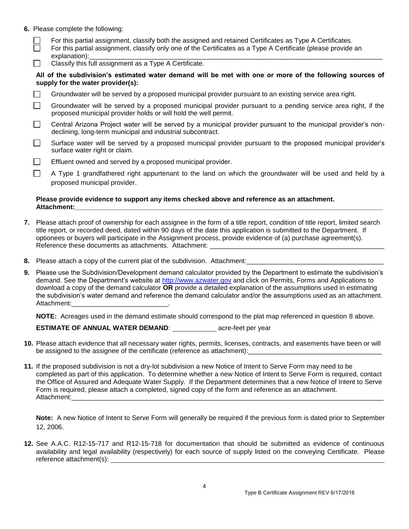**6.** Please complete the following:

П

- For this partial assignment, classify both the assigned and retained Certificates as Type A Certificates.
- For this partial assignment, classify only one of the Certificates as a Type A Certificate (please provide an explanation):
- Classify this full assignment as a Type A Certificate.  $\perp$

**All of the subdivision's estimated water demand will be met with one or more of the following sources of supply for the water provider(s):** 

 $\Box$ Groundwater will be served by a proposed municipal provider pursuant to an existing service area right.

П Groundwater will be served by a proposed municipal provider pursuant to a pending service area right, if the proposed municipal provider holds or will hold the well permit.

- $\Box$ Central Arizona Project water will be served by a municipal provider pursuant to the municipal provider's nondeclining, long-term municipal and industrial subcontract.
- П Surface water will be served by a proposed municipal provider pursuant to the proposed municipal provider's surface water right or claim.
- П Effluent owned and served by a proposed municipal provider.

A Type 1 grandfathered right appurtenant to the land on which the groundwater will be used and held by a proposed municipal provider.

### **Please provide evidence to support any items checked above and reference as an attachment. Attachment:\_\_\_\_\_\_\_\_\_\_\_\_\_\_\_\_\_\_\_\_\_\_\_\_\_\_\_\_\_\_\_\_\_\_\_\_\_\_\_\_\_\_\_\_\_\_\_\_\_\_\_\_\_\_\_\_\_\_\_\_\_\_\_\_\_\_\_\_\_\_\_\_\_\_\_\_\_\_\_\_\_\_\_**

- **7.** Please attach proof of ownership for each assignee in the form of a title report, condition of title report, limited search title report, or recorded deed, dated within 90 days of the date this application is submitted to the Department. If optionees or buyers will participate in the Assignment process, provide evidence of (a) purchase agreement(s). Reference these documents as attachments. Attachment:
- **8.** Please attach a copy of the current plat of the subdivision. Attachment:
- **9.** Please use the Subdivision/Development demand calculator provided by the Department to estimate the subdivision's demand. See the Department's website at [http://www.azwater.gov](http://www.azwater.gov/) and click on Permits, Forms and Applications to download a copy of the demand calculator **OR** provide a detailed explanation of the assumptions used in estimating the subdivision's water demand and reference the demand calculator and/or the assumptions used as an attachment. Attachment:

**NOTE:** Acreages used in the demand estimate should correspond to the plat map referenced in question 8 above.

## **ESTIMATE OF ANNUAL WATER DEMAND:** acre-feet per year

- **10.** Please attach evidence that all necessary water rights, permits, licenses, contracts, and easements have been or will be assigned to the assignee of the certificate (reference as attachment):
- **11.** If the proposed subdivision is not a dry-lot subdivision a new Notice of Intent to Serve Form may need to be completed as part of this application. To determine whether a new Notice of Intent to Serve Form is required, contact the Office of Assured and Adequate Water Supply. If the Department determines that a new Notice of Intent to Serve Form is required, please attach a completed, signed copy of the form and reference as an attachment. Attachment:\_\_\_\_\_\_\_\_\_\_\_\_\_\_\_\_\_\_\_\_\_\_\_\_\_\_\_\_\_\_\_\_\_\_\_\_\_\_\_\_\_\_\_\_\_\_\_\_\_\_\_\_\_\_\_\_\_\_\_\_\_\_\_\_\_\_\_\_\_\_\_\_\_\_\_\_\_\_\_\_\_\_\_\_

**Note:** A new Notice of Intent to Serve Form will generally be required if the previous form is dated prior to September 12, 2006.

**12.** See A.A.C. R12-15-717 and R12-15-718 for documentation that should be submitted as evidence of continuous availability and legal availability (respectively) for each source of supply listed on the conveying Certificate. Please reference attachment(s):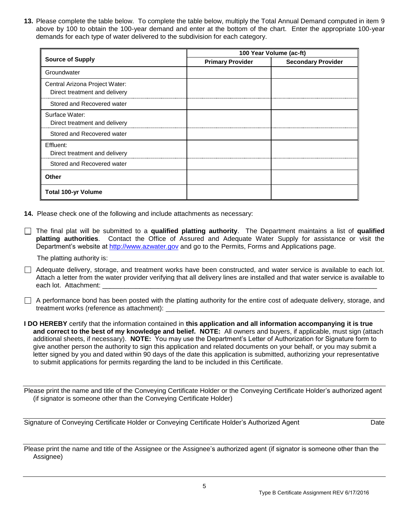**13.** Please complete the table below. To complete the table below, multiply the Total Annual Demand computed in item 9 above by 100 to obtain the 100-year demand and enter at the bottom of the chart. Enter the appropriate 100-year demands for each type of water delivered to the subdivision for each category.

|                                                                 | 100 Year Volume (ac-ft) |                           |  |
|-----------------------------------------------------------------|-------------------------|---------------------------|--|
| <b>Source of Supply</b>                                         | <b>Primary Provider</b> | <b>Secondary Provider</b> |  |
| Groundwater                                                     |                         |                           |  |
| Central Arizona Project Water:<br>Direct treatment and delivery |                         |                           |  |
| Stored and Recovered water                                      |                         |                           |  |
| Surface Water:<br>Direct treatment and delivery                 |                         |                           |  |
| Stored and Recovered water                                      |                         |                           |  |
| Effluent:<br>Direct treatment and delivery                      |                         |                           |  |
| Stored and Recovered water                                      |                         |                           |  |
| <b>Other</b>                                                    |                         |                           |  |
| <b>Total 100-yr Volume</b>                                      |                         |                           |  |

- **14.** Please check one of the following and include attachments as necessary:
- The final plat will be submitted to a **qualified platting authority**. The Department maintains a list of **qualified platting authorities**. Contact the Office of Assured and Adequate Water Supply for assistance or visit the Department's website at [http://www.azwater.gov](http://www.azwater.gov/) and go to the Permits, Forms and Applications page.
	- The platting authority is:

Adequate delivery, storage, and treatment works have been constructed, and water service is available to each lot. Attach a letter from the water provider verifying that all delivery lines are installed and that water service is available to each lot. Attachment:

A performance bond has been posted with the platting authority for the entire cost of adequate delivery, storage, and treatment works (reference as attachment):

**I DO HEREBY** certify that the information contained in **this application and all information accompanying it is true and correct to the best of my knowledge and belief. NOTE:** All owners and buyers, if applicable, must sign (attach additional sheets, if necessary). **NOTE:** You may use the Department's Letter of Authorization for Signature form to give another person the authority to sign this application and related documents on your behalf, or you may submit a letter signed by you and dated within 90 days of the date this application is submitted, authorizing your representative to submit applications for permits regarding the land to be included in this Certificate.

Please print the name and title of the Conveying Certificate Holder or the Conveying Certificate Holder's authorized agent (if signator is someone other than the Conveying Certificate Holder)

Signature of Conveying Certificate Holder or Conveying Certificate Holder's Authorized Agent Date

Please print the name and title of the Assignee or the Assignee's authorized agent (if signator is someone other than the Assignee)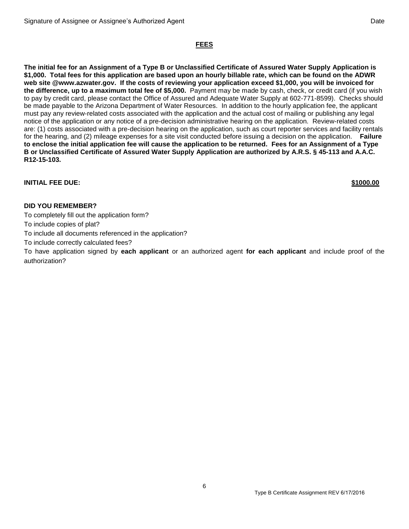## **FEES**

**The initial fee for an Assignment of a Type B or Unclassified Certificate of Assured Water Supply Application is \$1,000. Total fees for this application are based upon an hourly billable rate, which can be found on the ADWR web site @www.azwater.gov. If the costs of reviewing your application exceed \$1,000, you will be invoiced for the difference, up to a maximum total fee of \$5,000.** Payment may be made by cash, check, or credit card (if you wish to pay by credit card, please contact the Office of Assured and Adequate Water Supply at 602-771-8599). Checks should be made payable to the Arizona Department of Water Resources. In addition to the hourly application fee, the applicant must pay any review-related costs associated with the application and the actual cost of mailing or publishing any legal notice of the application or any notice of a pre-decision administrative hearing on the application. Review-related costs are: (1) costs associated with a pre-decision hearing on the application, such as court reporter services and facility rentals for the hearing, and (2) mileage expenses for a site visit conducted before issuing a decision on the application. **Failure to enclose the initial application fee will cause the application to be returned. Fees for an Assignment of a Type B or Unclassified Certificate of Assured Water Supply Application are authorized by A.R.S. § 45-113 and A.A.C. R12-15-103.** 

**INITIAL FEE DUE: \$1000.00** 

## **DID YOU REMEMBER?**

To completely fill out the application form?

To include copies of plat?

To include all documents referenced in the application?

To include correctly calculated fees?

To have application signed by **each applicant** or an authorized agent **for each applicant** and include proof of the authorization?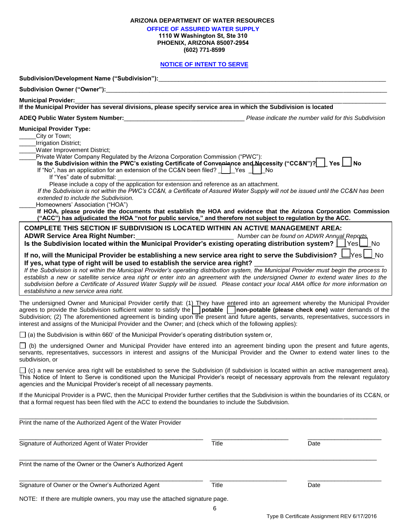| ARIZONA DEPARTMENT OF WATER RESOURCES |  |
|---------------------------------------|--|
|---------------------------------------|--|

**OFFICE OF ASSURED WATER SUPPLY** 

**1110 W Washington St, Ste 310 PHOENIX, ARIZONA 85007-2954**

**(602) 771-8599**

## **NOTICE OF INTENT TO SERVE**

| <b>Municipal Provider:</b>                                                                                                                                                                                                                                                                                                                                                                                                                                                                                                                                                                                                                                                       |       |      |
|----------------------------------------------------------------------------------------------------------------------------------------------------------------------------------------------------------------------------------------------------------------------------------------------------------------------------------------------------------------------------------------------------------------------------------------------------------------------------------------------------------------------------------------------------------------------------------------------------------------------------------------------------------------------------------|-------|------|
| If the Municipal Provider has several divisions, please specify service area in which the Subdivision is located                                                                                                                                                                                                                                                                                                                                                                                                                                                                                                                                                                 |       |      |
| ADEQ Public Water System Number:<br>Flease indicate the number valid for this Subdivision                                                                                                                                                                                                                                                                                                                                                                                                                                                                                                                                                                                        |       |      |
| <b>Municipal Provider Type:</b><br>City or Town;<br><b>Irrigation District;</b><br><b>Water Improvement District;</b><br>Private Water Company Regulated by the Arizona Corporation Commission ("PWC"):<br>Is the Subdivision within the PWC's existing Certificate of Convenience and Necessity ("CC&N")?   Yes   No<br>If "No", has an application for an extension of the CC&N been filed?     Yes     No<br>If "Yes" date of submittal:<br>Please include a copy of the application for extension and reference as an attachment.                                                                                                                                            |       |      |
| If the Subdivision is not within the PWC's CC&N, a Certificate of Assured Water Supply will not be issued until the CC&N has been<br>extended to include the Subdivision.                                                                                                                                                                                                                                                                                                                                                                                                                                                                                                        |       |      |
| Homeowners' Association ("HOA")                                                                                                                                                                                                                                                                                                                                                                                                                                                                                                                                                                                                                                                  |       |      |
| If HOA, please provide the documents that establish the HOA and evidence that the Arizona Corporation Commission<br>("ACC") has adjudicated the HOA "not for public service," and therefore not subject to regulation by the ACC.                                                                                                                                                                                                                                                                                                                                                                                                                                                |       |      |
| <b>COMPLETE THIS SECTION IF SUBDIVISION IS LOCATED WITHIN AN ACTIVE MANAGEMENT AREA:</b><br>ADWR Service Area Right Number:<br>Number can be found on ADWR Annual Reports<br>Is the Subdivision located within the Municipal Provider's existing operating distribution system? $\Box$ Yes $\Box$ No                                                                                                                                                                                                                                                                                                                                                                             |       |      |
| If no, will the Municipal Provider be establishing a new service area right to serve the Subdivision? $\Box$ Yes $\Box$ No<br>If yes, what type of right will be used to establish the service area right?<br>If the Subdivision is not within the Municipal Provider's operating distribution system, the Municipal Provider must begin the process to<br>establish a new or satellite service area right or enter into an agreement with the undersigned Owner to extend water lines to the<br>subdivision before a Certificate of Assured Water Supply will be issued. Please contact your local AMA office for more information on<br>establishing a new service area right. |       |      |
| The undersigned Owner and Municipal Provider certify that: (1) They have entered into an agreement whereby the Municipal Provider<br>agrees to provide the Subdivision sufficient water to satisfy the potable non-potable (please check one) water demands of the<br>Subdivision; (2) The aforementioned agreement is binding upon the present and future agents, servants, representatives, successors in<br>interest and assigns of the Municipal Provider and the Owner; and (check which of the following applies):                                                                                                                                                         |       |      |
| $\Box$ (a) the Subdivision is within 660' of the Municipal Provider's operating distribution system or,                                                                                                                                                                                                                                                                                                                                                                                                                                                                                                                                                                          |       |      |
| $\Box$ (b) the undersigned Owner and Municipal Provider have entered into an agreement binding upon the present and future agents,<br>servants, representatives, successors in interest and assigns of the Municipal Provider and the Owner to extend water lines to the<br>subdivision, or                                                                                                                                                                                                                                                                                                                                                                                      |       |      |
| $\Box$ (c) a new service area right will be established to serve the Subdivision (if subdivision is located within an active management area).<br>This Notice of Intent to Serve is conditioned upon the Municipal Provider's receipt of necessary approvals from the relevant regulatory<br>agencies and the Municipal Provider's receipt of all necessary payments.                                                                                                                                                                                                                                                                                                            |       |      |
| If the Municipal Provider is a PWC, then the Municipal Provider further certifies that the Subdivision is within the boundaries of its CC&N, or<br>that a formal request has been filed with the ACC to extend the boundaries to include the Subdivision.                                                                                                                                                                                                                                                                                                                                                                                                                        |       |      |
| Print the name of the Authorized Agent of the Water Provider                                                                                                                                                                                                                                                                                                                                                                                                                                                                                                                                                                                                                     |       |      |
| Signature of Authorized Agent of Water Provider                                                                                                                                                                                                                                                                                                                                                                                                                                                                                                                                                                                                                                  | Title | Date |
| Print the name of the Owner or the Owner's Authorized Agent                                                                                                                                                                                                                                                                                                                                                                                                                                                                                                                                                                                                                      |       |      |
| Signature of Owner or the Owner's Authorized Agent                                                                                                                                                                                                                                                                                                                                                                                                                                                                                                                                                                                                                               | Title | Date |
| NOTE: If there are multiple owners, you may use the attached signature page.                                                                                                                                                                                                                                                                                                                                                                                                                                                                                                                                                                                                     |       |      |